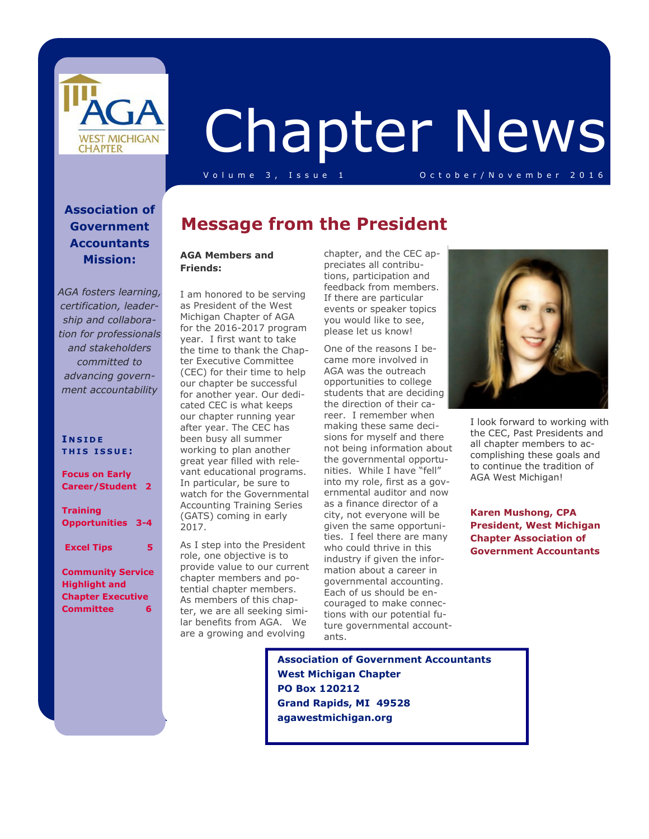

# Chapter News

V o l u m e 3, Issue 1 O c t o b e r / N o v e m b e r 2016

#### **Association of Government Accountants Mission:**

*AGA fosters learning, certification, leadership and collaboration for professionals and stakeholders committed to advancing government accountability*

#### **I N S I D E T H I S I S S U E :**

**Focus on Early Career/Student 2** 

**Training Opportunities 3-4** 

 **Excel Tips 5** 

#### **Community Service Highlight and Chapter Executive Committee 6**

## **Message from the President**

#### **AGA Members and Friends:**

I am honored to be serving as President of the West Michigan Chapter of AGA for the 2016-2017 program year. I first want to take the time to thank the Chapter Executive Committee (CEC) for their time to help our chapter be successful for another year. Our dedicated CEC is what keeps our chapter running year after year. The CEC has been busy all summer working to plan another great year filled with relevant educational programs. In particular, be sure to watch for the Governmental Accounting Training Series (GATS) coming in early 2017.

As I step into the President role, one objective is to provide value to our current chapter members and potential chapter members. As members of this chapter, we are all seeking similar benefits from AGA. We are a growing and evolving

chapter, and the CEC appreciates all contributions, participation and feedback from members. If there are particular events or speaker topics you would like to see, please let us know!

One of the reasons I became more involved in AGA was the outreach opportunities to college students that are deciding the direction of their career. I remember when making these same decisions for myself and there not being information about the governmental opportunities. While I have "fell" into my role, first as a governmental auditor and now as a finance director of a city, not everyone will be given the same opportunities. I feel there are many who could thrive in this industry if given the information about a career in governmental accounting. Each of us should be encouraged to make connections with our potential future governmental accountants.



I look forward to working with the CEC, Past Presidents and all chapter members to accomplishing these goals and to continue the tradition of AGA West Michigan!

**Karen Mushong, CPA President, West Michigan Chapter Association of Government Accountants** 

 **Association of Government Accountants West Michigan Chapter PO Box 120212 Grand Rapids, MI 49528 agawestmichigan.org**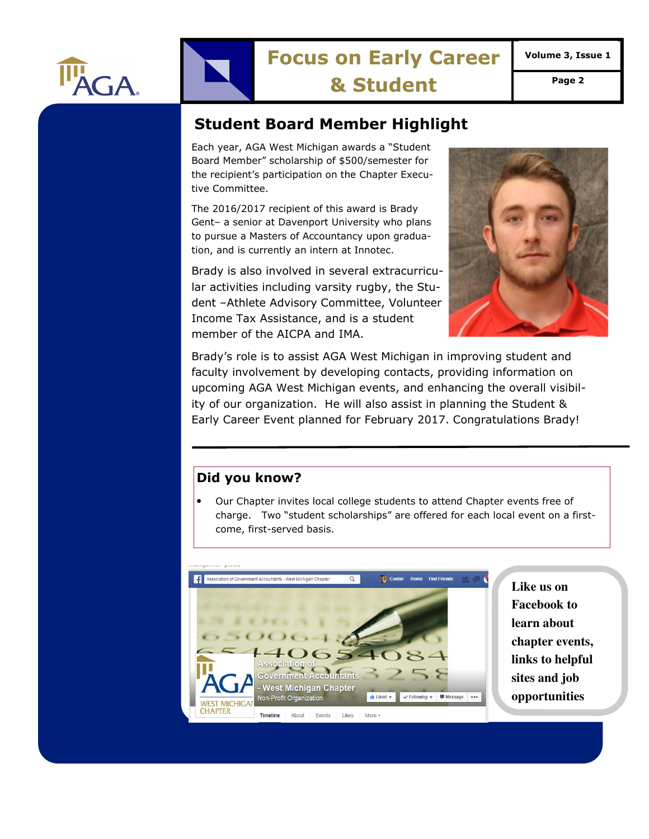

# **Focus on Early Career**

**Volume 3, Issue 1** 

**& Student Page 2** 

## **Student Board Member Highlight**

Each year, AGA West Michigan awards a "Student Board Member" scholarship of \$500/semester for the recipient's participation on the Chapter Executive Committee.

The 2016/2017 recipient of this award is Brady Gent– a senior at Davenport University who plans to pursue a Masters of Accountancy upon graduation, and is currently an intern at Innotec.

Brady is also involved in several extracurricular activities including varsity rugby, the Student –Athlete Advisory Committee, Volunteer Income Tax Assistance, and is a student member of the AICPA and IMA.



Brady's role is to assist AGA West Michigan in improving student and faculty involvement by developing contacts, providing information on upcoming AGA West Michigan events, and enhancing the overall visibility of our organization. He will also assist in planning the Student & Early Career Event planned for February 2017. Congratulations Brady!

#### **Did you know?**

• Our Chapter invites local college students to attend Chapter events free of charge. Two "student scholarships" are offered for each local event on a firstcome, first-served basis.



**Like us on Facebook to learn about chapter events, links to helpful sites and job opportunities**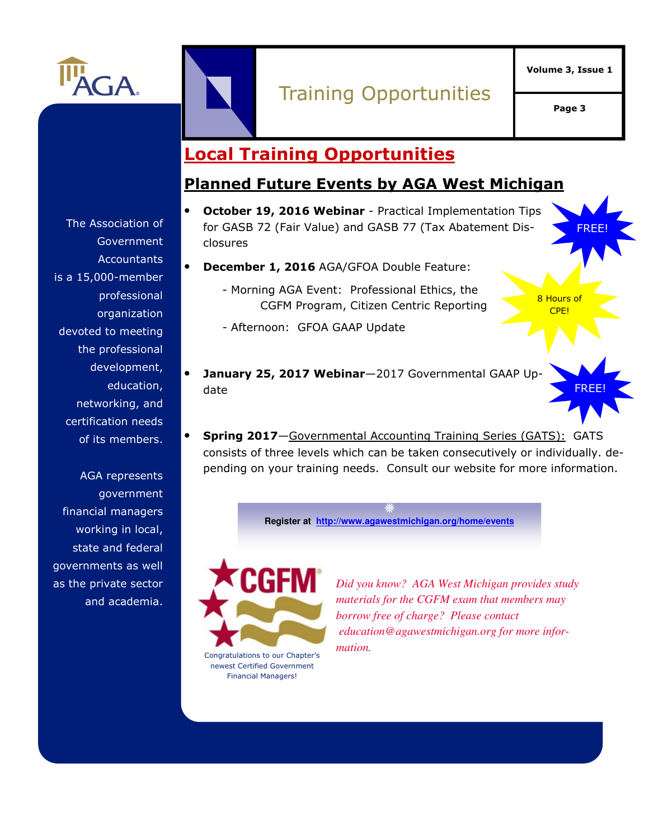

# Training Opportunities

**Volume 3, Issue 1** 

**Page 3** 

FREE!

8 Hours of CPE!

FREE!

## **Local Training Opportunities**

## **Planned Future Events by AGA West Michigan**

- **October 19, 2016 Webinar**  Practical Implementation Tips for GASB 72 (Fair Value) and GASB 77 (Tax Abatement Disclosures
	- **December 1, 2016** AGA/GFOA Double Feature:
		- Morning AGA Event: Professional Ethics, the CGFM Program, Citizen Centric Reporting

- Afternoon: GFOA GAAP Update

- **January 25, 2017 Webinar**—2017 Governmental GAAP Update
- **Spring 2017**—Governmental Accounting Training Series (GATS): GATS consists of three levels which can be taken consecutively or individually. depending on your training needs. Consult our website for more information.

**Register at http://www.agawestmichigan.org/home/events**



Congratulations to our Chapter's newest Certified Government Financial Managers!

*Did you know? AGA West Michigan provides study materials for the CGFM exam that members may borrow free of charge? Please contact education@agawestmichigan.org for more information.* 

The Association of Government **Accountants** is a 15,000-member professional organization devoted to meeting the professional development, education, networking, and certification needs of its members.

AGA represents government financial managers working in local, state and federal governments as well as the private sector and academia.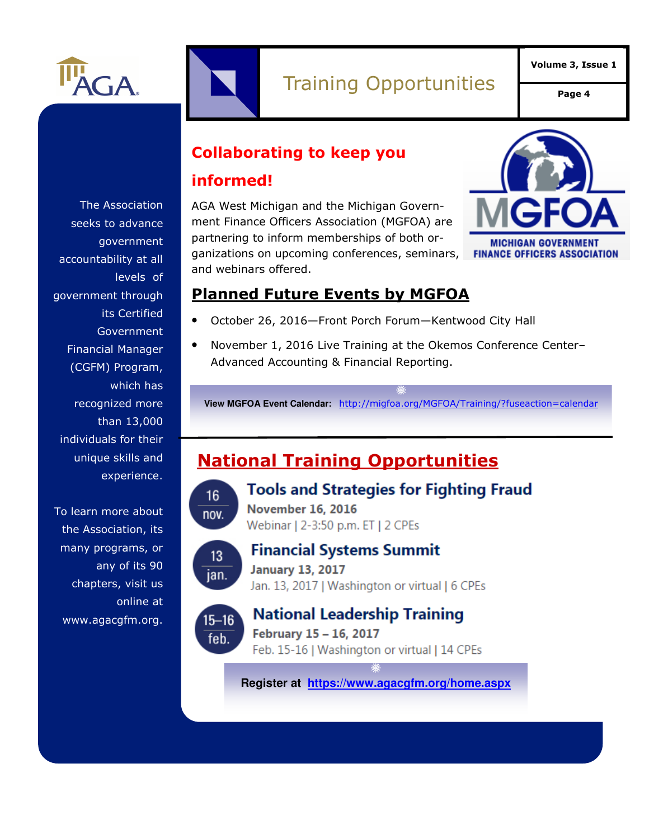

**Page 4** 

**Collaborating to keep you** 

## **informed!**

AGA West Michigan and the Michigan Government Finance Officers Association (MGFOA) are partnering to inform memberships of both organizations on upcoming conferences, seminars, and webinars offered.



## **Planned Future Events by MGFOA**

- October 26, 2016—Front Porch Forum—Kentwood City Hall
- November 1, 2016 Live Training at the Okemos Conference Center– Advanced Accounting & Financial Reporting.

**View MGFOA Event Calendar:** http://migfoa.org/MGFOA/Training/?fuseaction=calendar

## **National Training Opportunities**



## **Tools and Strategies for Fighting Fraud**

**November 16, 2016** Webinar | 2-3:50 p.m. ET | 2 CPEs



## **Financial Systems Summit**

**January 13, 2017** Jan. 13, 2017 | Washington or virtual | 6 CPEs



## **National Leadership Training**

February 15 - 16, 2017 Feb. 15-16 | Washington or virtual | 14 CPEs

**Register at https://www.agacgfm.org/home.aspx**

The Association seeks to advance government accountability at all levels of government through its Certified Government Financial Manager (CGFM) Program, which has recognized more than 13,000 individuals for their unique skills and experience.

To learn more about the Association, its many programs, or any of its 90 chapters, visit us online at www.agacgfm.org.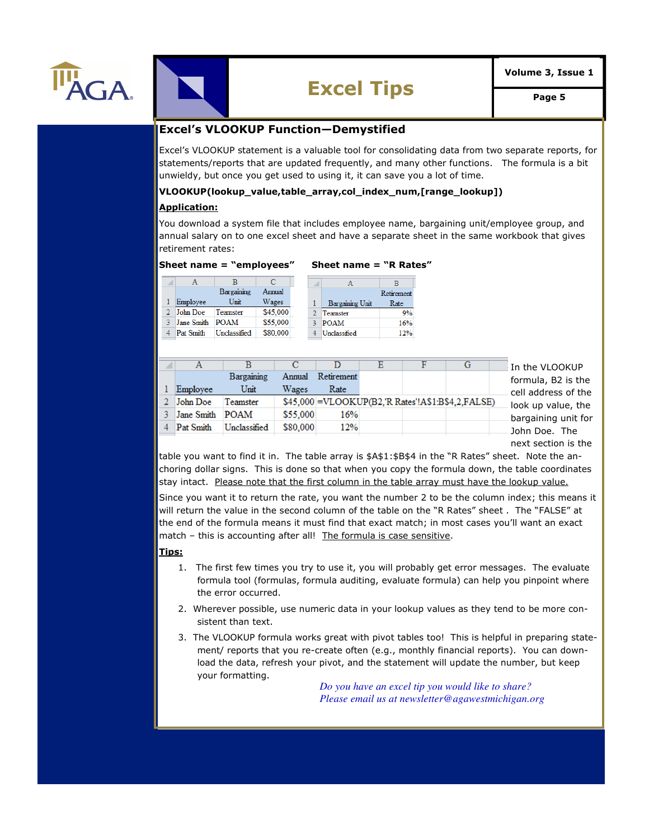



# **Excel Tips Page 5**

#### **Excel's VLOOKUP Function—Demystified**

Excel's VLOOKUP statement is a valuable tool for consolidating data from two separate reports, for statements/reports that are updated frequently, and many other functions. The formula is a bit unwieldy, but once you get used to using it, it can save you a lot of time.

#### **VLOOKUP(lookup\_value,table\_array,col\_index\_num,[range\_lookup])**

#### **Application:**

You download a system file that includes employee name, bargaining unit/employee group, and annual salary on to one excel sheet and have a separate sheet in the same workbook that gives retirement rates:

#### **Sheet name = "employees" Sheet name = "R Rates"**

#### $\overline{B}$  $\mathbf A$  $\mathbf C$  $\overline{A}$  $\overline{B}$ Bargaining Annual Retirement Employee Unit Wages  $\mathbf{1}$ **Bargaining Unit**  $\mathbf{1}$ Rate 2 John Doe Teamster \$45,000  $\overline{2}$ Teamster 9% 3 Jane Smith POAM \$55,000 3 POAM 16% 4 Pat Smith Unclassified \$80,000 4 Unclassified 12%

|            |              |          |            |  |                                                    | $\,$ In the VLOOKUP                                                                                     |
|------------|--------------|----------|------------|--|----------------------------------------------------|---------------------------------------------------------------------------------------------------------|
|            | Bargaining   | Annual   | Retirement |  |                                                    | formula, B2 is the<br>cell address of the<br>look up value, the<br>bargaining unit for<br>John Doe. The |
| Employee   | Unit         | Wages    | Rate       |  |                                                    |                                                                                                         |
| John Doe   | Teamster     |          |            |  | $$45,000$ =VLOOKUP(B2, R Rates'!A\$1:B\$4,2,FALSE) |                                                                                                         |
| Jane Smith | <b>POAM</b>  | \$55,000 | 16%        |  |                                                    |                                                                                                         |
| Pat Smith  | Unclassified | \$80,000 | 12%        |  |                                                    |                                                                                                         |

next section is the

table you want to find it in. The table array is \$A\$1:\$B\$4 in the "R Rates" sheet. Note the anchoring dollar signs. This is done so that when you copy the formula down, the table coordinates stay intact. Please note that the first column in the table array must have the lookup value.

Since you want it to return the rate, you want the number 2 to be the column index; this means it will return the value in the second column of the table on the "R Rates" sheet . The "FALSE" at the end of the formula means it must find that exact match; in most cases you'll want an exact match - this is accounting after all! The formula is case sensitive.

#### **Tips:**

- 1. The first few times you try to use it, you will probably get error messages. The evaluate formula tool (formulas, formula auditing, evaluate formula) can help you pinpoint where the error occurred.
- 2. Wherever possible, use numeric data in your lookup values as they tend to be more consistent than text.
- 3. The VLOOKUP formula works great with pivot tables too! This is helpful in preparing statement/ reports that you re-create often (e.g., monthly financial reports). You can download the data, refresh your pivot, and the statement will update the number, but keep your formatting.

*Do you have an excel tip you would like to share? Please email us at newsletter@agawestmichigan.org*